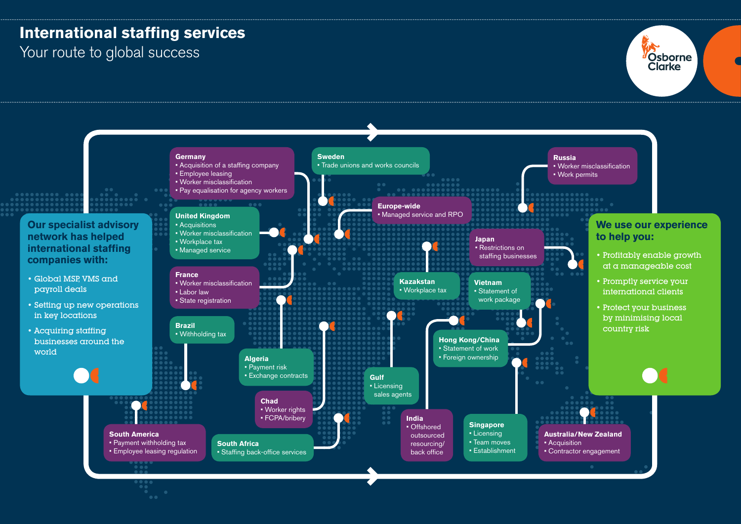## **International staffing services**

Your route to global success



Osborne **Clarke**